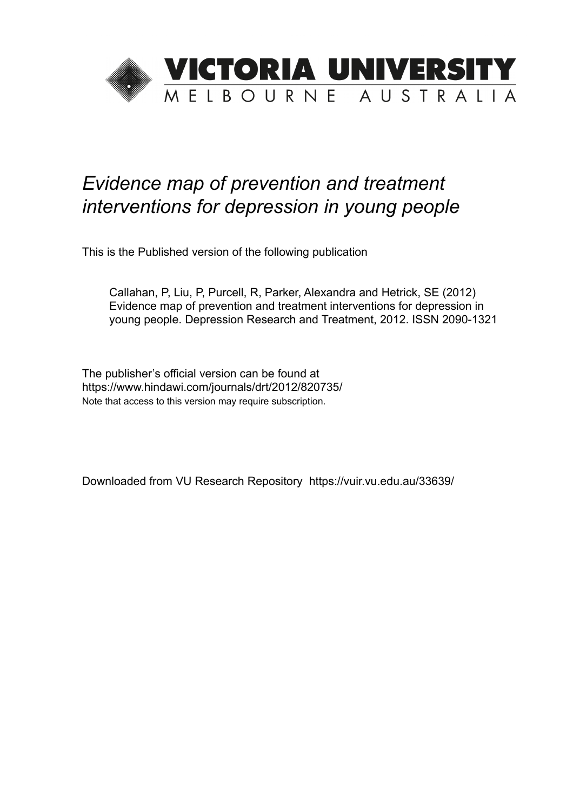

# *Evidence map of prevention and treatment interventions for depression in young people*

This is the Published version of the following publication

Callahan, P, Liu, P, Purcell, R, Parker, Alexandra and Hetrick, SE (2012) Evidence map of prevention and treatment interventions for depression in young people. Depression Research and Treatment, 2012. ISSN 2090-1321

The publisher's official version can be found at https://www.hindawi.com/journals/drt/2012/820735/ Note that access to this version may require subscription.

Downloaded from VU Research Repository https://vuir.vu.edu.au/33639/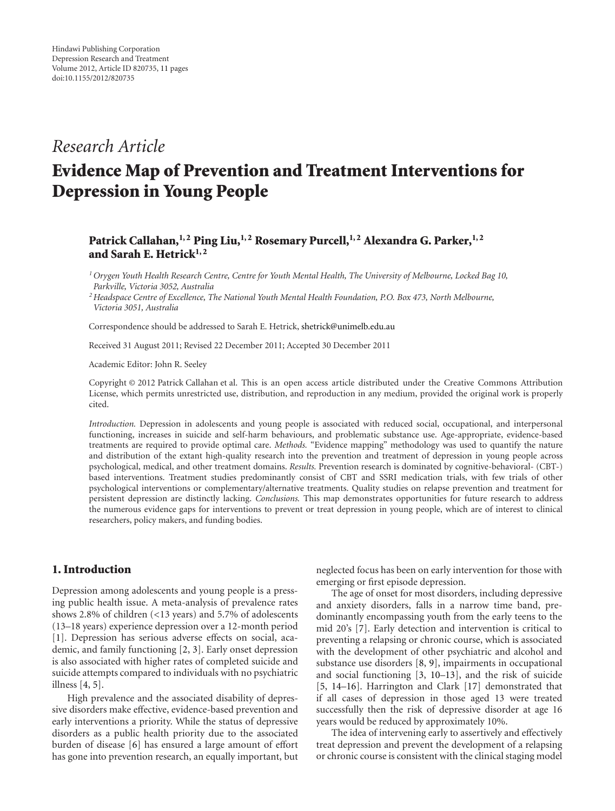### *Research Article*

## Evidence Map of Prevention and Treatment Interventions for Depression in Young People

#### Patrick Callahan,<sup>1, 2</sup> Ping Liu,<sup>1, 2</sup> Rosemary Purcell,<sup>1, 2</sup> Alexandra G. Parker,<sup>1, 2</sup> and Sarah E. Hetrick $1, 2$

*1Orygen Youth Health Research Centre, Centre for Youth Mental Health, The University of Melbourne, Locked Bag 10, Parkville, Victoria 3052, Australia*

*2Headspace Centre of Excellence, The National Youth Mental Health Foundation, P.O. Box 473, North Melbourne, Victoria 3051, Australia*

Correspondence should be addressed to Sarah E. Hetrick, shetrick@unimelb.edu.au

Received 31 August 2011; Revised 22 December 2011; Accepted 30 December 2011

Academic Editor: John R. Seeley

Copyright © 2012 Patrick Callahan et al. This is an open access article distributed under the Creative Commons Attribution License, which permits unrestricted use, distribution, and reproduction in any medium, provided the original work is properly cited.

*Introduction.* Depression in adolescents and young people is associated with reduced social, occupational, and interpersonal functioning, increases in suicide and self-harm behaviours, and problematic substance use. Age-appropriate, evidence-based treatments are required to provide optimal care. *Methods.* "Evidence mapping" methodology was used to quantify the nature and distribution of the extant high-quality research into the prevention and treatment of depression in young people across psychological, medical, and other treatment domains. *Results.* Prevention research is dominated by cognitive-behavioral- (CBT-) based interventions. Treatment studies predominantly consist of CBT and SSRI medication trials, with few trials of other psychological interventions or complementary/alternative treatments. Quality studies on relapse prevention and treatment for persistent depression are distinctly lacking. *Conclusions.* This map demonstrates opportunities for future research to address the numerous evidence gaps for interventions to prevent or treat depression in young people, which are of interest to clinical researchers, policy makers, and funding bodies.

#### 1. Introduction

Depression among adolescents and young people is a pressing public health issue. A meta-analysis of prevalence rates shows 2.8% of children (*<*13 years) and 5.7% of adolescents (13–18 years) experience depression over a 12-month period [1]. Depression has serious adverse effects on social, academic, and family functioning [2, 3]. Early onset depression is also associated with higher rates of completed suicide and suicide attempts compared to individuals with no psychiatric illness [4, 5].

High prevalence and the associated disability of depressive disorders make effective, evidence-based prevention and early interventions a priority. While the status of depressive disorders as a public health priority due to the associated burden of disease [6] has ensured a large amount of effort has gone into prevention research, an equally important, but neglected focus has been on early intervention for those with emerging or first episode depression.

The age of onset for most disorders, including depressive and anxiety disorders, falls in a narrow time band, predominantly encompassing youth from the early teens to the mid 20's [7]. Early detection and intervention is critical to preventing a relapsing or chronic course, which is associated with the development of other psychiatric and alcohol and substance use disorders [8, 9], impairments in occupational and social functioning [3, 10–13], and the risk of suicide [5, 14–16]. Harrington and Clark [17] demonstrated that if all cases of depression in those aged 13 were treated successfully then the risk of depressive disorder at age 16 years would be reduced by approximately 10%.

The idea of intervening early to assertively and effectively treat depression and prevent the development of a relapsing or chronic course is consistent with the clinical staging model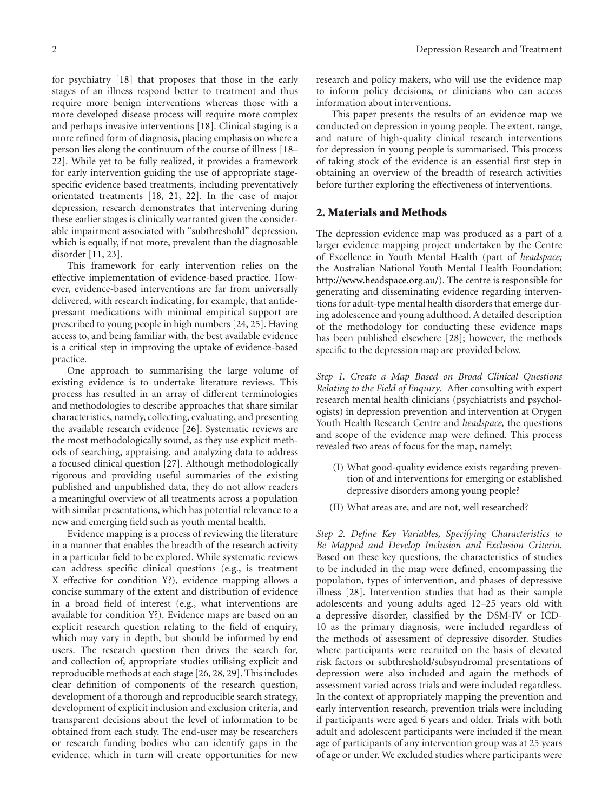for psychiatry [18] that proposes that those in the early stages of an illness respond better to treatment and thus require more benign interventions whereas those with a more developed disease process will require more complex and perhaps invasive interventions [18]. Clinical staging is a more refined form of diagnosis, placing emphasis on where a person lies along the continuum of the course of illness [18– 22]. While yet to be fully realized, it provides a framework for early intervention guiding the use of appropriate stagespecific evidence based treatments, including preventatively orientated treatments [18, 21, 22]. In the case of major depression, research demonstrates that intervening during these earlier stages is clinically warranted given the considerable impairment associated with "subthreshold" depression, which is equally, if not more, prevalent than the diagnosable disorder [11, 23].

This framework for early intervention relies on the effective implementation of evidence-based practice. However, evidence-based interventions are far from universally delivered, with research indicating, for example, that antidepressant medications with minimal empirical support are prescribed to young people in high numbers [24, 25]. Having access to, and being familiar with, the best available evidence is a critical step in improving the uptake of evidence-based practice.

One approach to summarising the large volume of existing evidence is to undertake literature reviews. This process has resulted in an array of different terminologies and methodologies to describe approaches that share similar characteristics, namely, collecting, evaluating, and presenting the available research evidence [26]. Systematic reviews are the most methodologically sound, as they use explicit methods of searching, appraising, and analyzing data to address a focused clinical question [27]. Although methodologically rigorous and providing useful summaries of the existing published and unpublished data, they do not allow readers a meaningful overview of all treatments across a population with similar presentations, which has potential relevance to a new and emerging field such as youth mental health.

Evidence mapping is a process of reviewing the literature in a manner that enables the breadth of the research activity in a particular field to be explored. While systematic reviews can address specific clinical questions (e.g., is treatment X effective for condition Y?), evidence mapping allows a concise summary of the extent and distribution of evidence in a broad field of interest (e.g., what interventions are available for condition Y?). Evidence maps are based on an explicit research question relating to the field of enquiry, which may vary in depth, but should be informed by end users. The research question then drives the search for, and collection of, appropriate studies utilising explicit and reproducible methods at each stage [26, 28, 29]. This includes clear definition of components of the research question, development of a thorough and reproducible search strategy, development of explicit inclusion and exclusion criteria, and transparent decisions about the level of information to be obtained from each study. The end-user may be researchers or research funding bodies who can identify gaps in the evidence, which in turn will create opportunities for new

research and policy makers, who will use the evidence map to inform policy decisions, or clinicians who can access information about interventions.

This paper presents the results of an evidence map we conducted on depression in young people. The extent, range, and nature of high-quality clinical research interventions for depression in young people is summarised. This process of taking stock of the evidence is an essential first step in obtaining an overview of the breadth of research activities before further exploring the effectiveness of interventions.

#### 2. Materials and Methods

The depression evidence map was produced as a part of a larger evidence mapping project undertaken by the Centre of Excellence in Youth Mental Health (part of *headspace;* the Australian National Youth Mental Health Foundation; http://www.headspace.org.au/). The centre is responsible for generating and disseminating evidence regarding interventions for adult-type mental health disorders that emerge during adolescence and young adulthood. A detailed description of the methodology for conducting these evidence maps has been published elsewhere [28]; however, the methods specific to the depression map are provided below.

*Step 1. Create a Map Based on Broad Clinical Questions Relating to the Field of Enquiry.* After consulting with expert research mental health clinicians (psychiatrists and psychologists) in depression prevention and intervention at Orygen Youth Health Research Centre and *headspace,* the questions and scope of the evidence map were defined. This process revealed two areas of focus for the map, namely;

- (I) What good-quality evidence exists regarding prevention of and interventions for emerging or established depressive disorders among young people?
- (II) What areas are, and are not, well researched?

*Step 2. Define Key Variables, Specifying Characteristics to Be Mapped and Develop Inclusion and Exclusion Criteria.* Based on these key questions, the characteristics of studies to be included in the map were defined, encompassing the population, types of intervention, and phases of depressive illness [28]. Intervention studies that had as their sample adolescents and young adults aged 12–25 years old with a depressive disorder, classified by the DSM-IV or ICD-10 as the primary diagnosis, were included regardless of the methods of assessment of depressive disorder. Studies where participants were recruited on the basis of elevated risk factors or subthreshold/subsyndromal presentations of depression were also included and again the methods of assessment varied across trials and were included regardless. In the context of appropriately mapping the prevention and early intervention research, prevention trials were including if participants were aged 6 years and older. Trials with both adult and adolescent participants were included if the mean age of participants of any intervention group was at 25 years of age or under. We excluded studies where participants were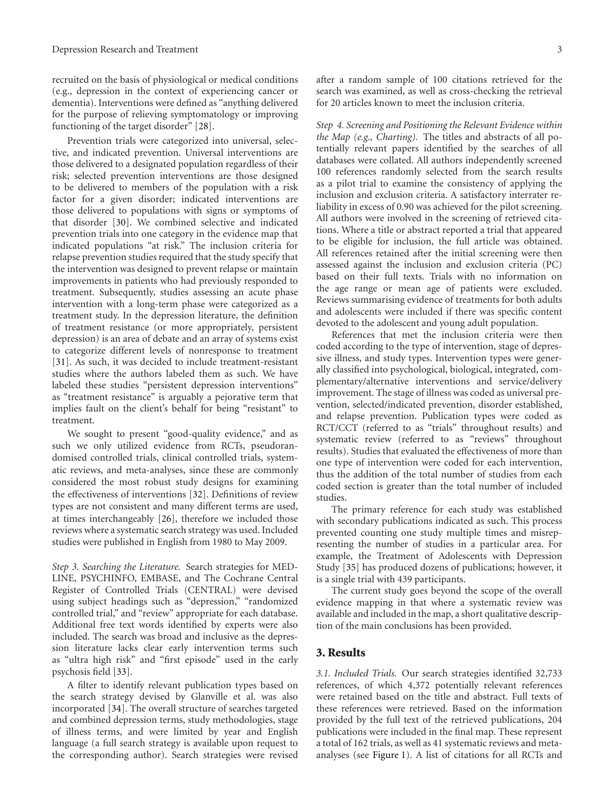recruited on the basis of physiological or medical conditions (e.g., depression in the context of experiencing cancer or dementia). Interventions were defined as "anything delivered for the purpose of relieving symptomatology or improving functioning of the target disorder" [28].

Prevention trials were categorized into universal, selective, and indicated prevention. Universal interventions are those delivered to a designated population regardless of their risk; selected prevention interventions are those designed to be delivered to members of the population with a risk factor for a given disorder; indicated interventions are those delivered to populations with signs or symptoms of that disorder [30]. We combined selective and indicated prevention trials into one category in the evidence map that indicated populations "at risk." The inclusion criteria for relapse prevention studies required that the study specify that the intervention was designed to prevent relapse or maintain improvements in patients who had previously responded to treatment. Subsequently, studies assessing an acute phase intervention with a long-term phase were categorized as a treatment study. In the depression literature, the definition of treatment resistance (or more appropriately, persistent depression) is an area of debate and an array of systems exist to categorize different levels of nonresponse to treatment [31]. As such, it was decided to include treatment-resistant studies where the authors labeled them as such. We have labeled these studies "persistent depression interventions" as "treatment resistance" is arguably a pejorative term that implies fault on the client's behalf for being "resistant" to treatment.

We sought to present "good-quality evidence," and as such we only utilized evidence from RCTs, pseudorandomised controlled trials, clinical controlled trials, systematic reviews, and meta-analyses, since these are commonly considered the most robust study designs for examining the effectiveness of interventions [32]. Definitions of review types are not consistent and many different terms are used, at times interchangeably [26], therefore we included those reviews where a systematic search strategy was used. Included studies were published in English from 1980 to May 2009.

*Step 3. Searching the Literature.* Search strategies for MED-LINE, PSYCHINFO, EMBASE, and The Cochrane Central Register of Controlled Trials (CENTRAL) were devised using subject headings such as "depression," "randomized controlled trial," and "review" appropriate for each database. Additional free text words identified by experts were also included. The search was broad and inclusive as the depression literature lacks clear early intervention terms such as "ultra high risk" and "first episode" used in the early psychosis field [33].

A filter to identify relevant publication types based on the search strategy devised by Glanville et al. was also incorporated [34]. The overall structure of searches targeted and combined depression terms, study methodologies, stage of illness terms, and were limited by year and English language (a full search strategy is available upon request to the corresponding author). Search strategies were revised after a random sample of 100 citations retrieved for the search was examined, as well as cross-checking the retrieval for 20 articles known to meet the inclusion criteria.

*Step 4. Screening and Positioning the Relevant Evidence within the Map (e.g., Charting).* The titles and abstracts of all potentially relevant papers identified by the searches of all databases were collated. All authors independently screened 100 references randomly selected from the search results as a pilot trial to examine the consistency of applying the inclusion and exclusion criteria. A satisfactory interrater reliability in excess of 0.90 was achieved for the pilot screening. All authors were involved in the screening of retrieved citations. Where a title or abstract reported a trial that appeared to be eligible for inclusion, the full article was obtained. All references retained after the initial screening were then assessed against the inclusion and exclusion criteria (PC) based on their full texts. Trials with no information on the age range or mean age of patients were excluded. Reviews summarising evidence of treatments for both adults and adolescents were included if there was specific content devoted to the adolescent and young adult population.

References that met the inclusion criteria were then coded according to the type of intervention, stage of depressive illness, and study types. Intervention types were generally classified into psychological, biological, integrated, complementary/alternative interventions and service/delivery improvement. The stage of illness was coded as universal prevention, selected/indicated prevention, disorder established, and relapse prevention. Publication types were coded as RCT/CCT (referred to as "trials" throughout results) and systematic review (referred to as "reviews" throughout results). Studies that evaluated the effectiveness of more than one type of intervention were coded for each intervention, thus the addition of the total number of studies from each coded section is greater than the total number of included studies.

The primary reference for each study was established with secondary publications indicated as such. This process prevented counting one study multiple times and misrepresenting the number of studies in a particular area. For example, the Treatment of Adolescents with Depression Study [35] has produced dozens of publications; however, it is a single trial with 439 participants.

The current study goes beyond the scope of the overall evidence mapping in that where a systematic review was available and included in the map, a short qualitative description of the main conclusions has been provided.

#### 3. Results

*3.1. Included Trials.* Our search strategies identified 32,733 references, of which 4,372 potentially relevant references were retained based on the title and abstract. Full texts of these references were retrieved. Based on the information provided by the full text of the retrieved publications, 204 publications were included in the final map. These represent a total of 162 trials, as well as 41 systematic reviews and metaanalyses (see Figure 1). A list of citations for all RCTs and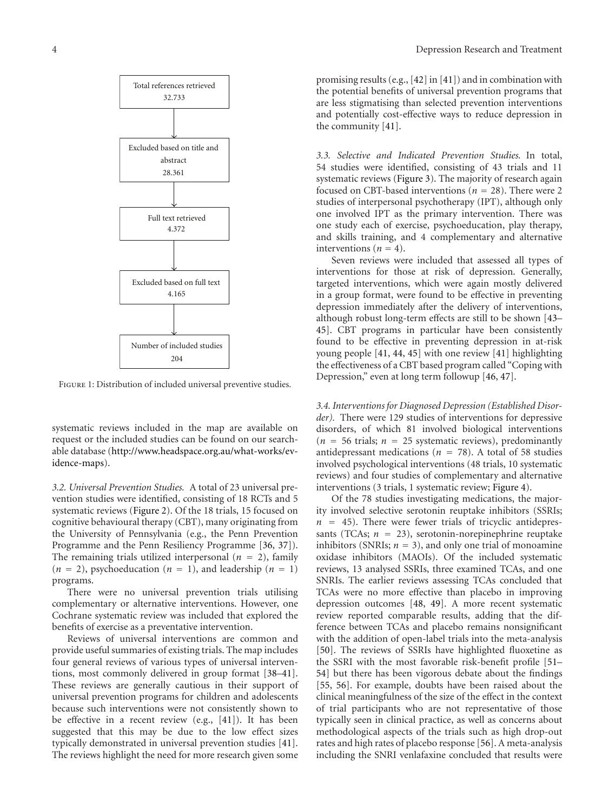

Figure 1: Distribution of included universal preventive studies.

systematic reviews included in the map are available on request or the included studies can be found on our searchable database (http://www.headspace.org.au/what-works/evidence-maps).

*3.2. Universal Prevention Studies.* A total of 23 universal prevention studies were identified, consisting of 18 RCTs and 5 systematic reviews (Figure 2). Of the 18 trials, 15 focused on cognitive behavioural therapy (CBT), many originating from the University of Pennsylvania (e.g., the Penn Prevention Programme and the Penn Resiliency Programme [36, 37]). The remaining trials utilized interpersonal  $(n = 2)$ , family  $(n = 2)$ , psychoeducation  $(n = 1)$ , and leadership  $(n = 1)$ programs.

There were no universal prevention trials utilising complementary or alternative interventions. However, one Cochrane systematic review was included that explored the benefits of exercise as a preventative intervention.

Reviews of universal interventions are common and provide useful summaries of existing trials. The map includes four general reviews of various types of universal interventions, most commonly delivered in group format [38–41]. These reviews are generally cautious in their support of universal prevention programs for children and adolescents because such interventions were not consistently shown to be effective in a recent review (e.g., [41]). It has been suggested that this may be due to the low effect sizes typically demonstrated in universal prevention studies [41]. The reviews highlight the need for more research given some

promising results (e.g., [42] in [41]) and in combination with the potential benefits of universal prevention programs that are less stigmatising than selected prevention interventions and potentially cost-effective ways to reduce depression in the community [41].

*3.3. Selective and Indicated Prevention Studies.* In total, 54 studies were identified, consisting of 43 trials and 11 systematic reviews (Figure 3). The majority of research again focused on CBT-based interventions (*n* = 28). There were 2 studies of interpersonal psychotherapy (IPT), although only one involved IPT as the primary intervention. There was one study each of exercise, psychoeducation, play therapy, and skills training, and 4 complementary and alternative interventions ( $n = 4$ ).

Seven reviews were included that assessed all types of interventions for those at risk of depression. Generally, targeted interventions, which were again mostly delivered in a group format, were found to be effective in preventing depression immediately after the delivery of interventions, although robust long-term effects are still to be shown [43– 45]. CBT programs in particular have been consistently found to be effective in preventing depression in at-risk young people [41, 44, 45] with one review [41] highlighting the effectiveness of a CBT based program called "Coping with Depression," even at long term followup [46, 47].

*3.4. Interventions for Diagnosed Depression (Established Disorder).* There were 129 studies of interventions for depressive disorders, of which 81 involved biological interventions  $(n = 56 \text{ trials}; n = 25 \text{ systematic reviews})$ , predominantly antidepressant medications ( $n = 78$ ). A total of 58 studies involved psychological interventions (48 trials, 10 systematic reviews) and four studies of complementary and alternative interventions (3 trials, 1 systematic review; Figure 4).

Of the 78 studies investigating medications, the majority involved selective serotonin reuptake inhibitors (SSRIs;  $n = 45$ ). There were fewer trials of tricyclic antidepressants (TCAs;  $n = 23$ ), serotonin-norepinephrine reuptake inhibitors (SNRIs;  $n = 3$ ), and only one trial of monoamine oxidase inhibitors (MAOIs). Of the included systematic reviews, 13 analysed SSRIs, three examined TCAs, and one SNRIs. The earlier reviews assessing TCAs concluded that TCAs were no more effective than placebo in improving depression outcomes [48, 49]. A more recent systematic review reported comparable results, adding that the difference between TCAs and placebo remains nonsignificant with the addition of open-label trials into the meta-analysis [50]. The reviews of SSRIs have highlighted fluoxetine as the SSRI with the most favorable risk-benefit profile [51– 54] but there has been vigorous debate about the findings [55, 56]. For example, doubts have been raised about the clinical meaningfulness of the size of the effect in the context of trial participants who are not representative of those typically seen in clinical practice, as well as concerns about methodological aspects of the trials such as high drop-out rates and high rates of placebo response [56]. A meta-analysis including the SNRI venlafaxine concluded that results were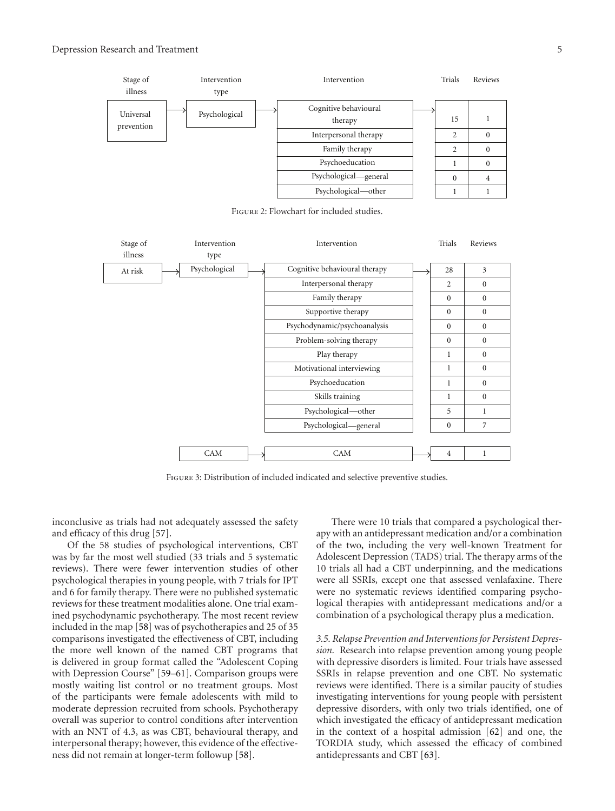

Figure 2: Flowchart for included studies.



Figure 3: Distribution of included indicated and selective preventive studies.

inconclusive as trials had not adequately assessed the safety and efficacy of this drug [57].

Of the 58 studies of psychological interventions, CBT was by far the most well studied (33 trials and 5 systematic reviews). There were fewer intervention studies of other psychological therapies in young people, with 7 trials for IPT and 6 for family therapy. There were no published systematic reviews for these treatment modalities alone. One trial examined psychodynamic psychotherapy. The most recent review included in the map [58] was of psychotherapies and 25 of 35 comparisons investigated the effectiveness of CBT, including the more well known of the named CBT programs that is delivered in group format called the "Adolescent Coping with Depression Course" [59–61]. Comparison groups were mostly waiting list control or no treatment groups. Most of the participants were female adolescents with mild to moderate depression recruited from schools. Psychotherapy overall was superior to control conditions after intervention with an NNT of 4.3, as was CBT, behavioural therapy, and interpersonal therapy; however, this evidence of the effectiveness did not remain at longer-term followup [58].

There were 10 trials that compared a psychological therapy with an antidepressant medication and/or a combination of the two, including the very well-known Treatment for Adolescent Depression (TADS) trial. The therapy arms of the 10 trials all had a CBT underpinning, and the medications were all SSRIs, except one that assessed venlafaxine. There were no systematic reviews identified comparing psychological therapies with antidepressant medications and/or a combination of a psychological therapy plus a medication.

*3.5. Relapse Prevention and Interventions for Persistent Depression.* Research into relapse prevention among young people with depressive disorders is limited. Four trials have assessed SSRIs in relapse prevention and one CBT. No systematic reviews were identified. There is a similar paucity of studies investigating interventions for young people with persistent depressive disorders, with only two trials identified, one of which investigated the efficacy of antidepressant medication in the context of a hospital admission [62] and one, the TORDIA study, which assessed the efficacy of combined antidepressants and CBT [63].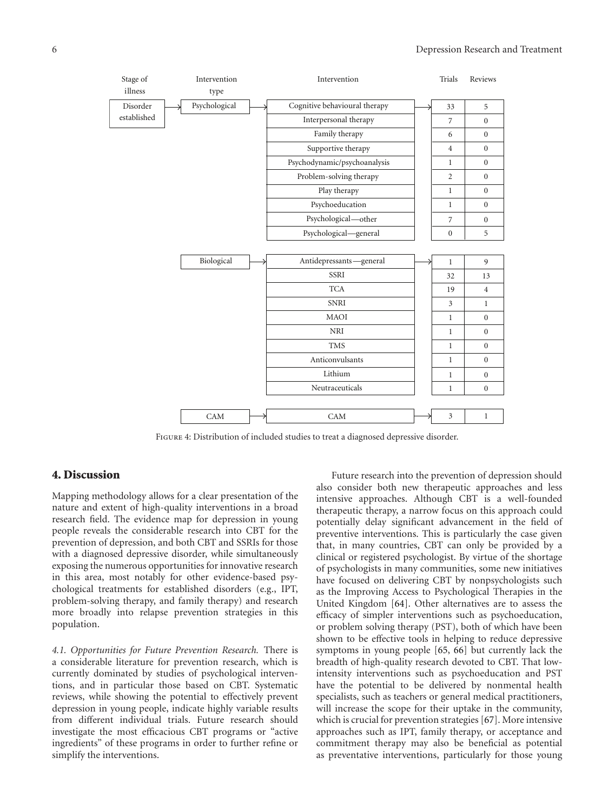

Figure 4: Distribution of included studies to treat a diagnosed depressive disorder.

#### 4. Discussion

Mapping methodology allows for a clear presentation of the nature and extent of high-quality interventions in a broad research field. The evidence map for depression in young people reveals the considerable research into CBT for the prevention of depression, and both CBT and SSRIs for those with a diagnosed depressive disorder, while simultaneously exposing the numerous opportunities for innovative research in this area, most notably for other evidence-based psychological treatments for established disorders (e.g., IPT, problem-solving therapy, and family therapy) and research more broadly into relapse prevention strategies in this population.

*4.1. Opportunities for Future Prevention Research.* There is a considerable literature for prevention research, which is currently dominated by studies of psychological interventions, and in particular those based on CBT. Systematic reviews, while showing the potential to effectively prevent depression in young people, indicate highly variable results from different individual trials. Future research should investigate the most efficacious CBT programs or "active ingredients" of these programs in order to further refine or simplify the interventions.

Future research into the prevention of depression should also consider both new therapeutic approaches and less intensive approaches. Although CBT is a well-founded therapeutic therapy, a narrow focus on this approach could potentially delay significant advancement in the field of preventive interventions. This is particularly the case given that, in many countries, CBT can only be provided by a clinical or registered psychologist. By virtue of the shortage of psychologists in many communities, some new initiatives have focused on delivering CBT by nonpsychologists such as the Improving Access to Psychological Therapies in the United Kingdom [64]. Other alternatives are to assess the efficacy of simpler interventions such as psychoeducation, or problem solving therapy (PST), both of which have been shown to be effective tools in helping to reduce depressive symptoms in young people [65, 66] but currently lack the breadth of high-quality research devoted to CBT. That lowintensity interventions such as psychoeducation and PST have the potential to be delivered by nonmental health specialists, such as teachers or general medical practitioners, will increase the scope for their uptake in the community, which is crucial for prevention strategies [67]. More intensive approaches such as IPT, family therapy, or acceptance and commitment therapy may also be beneficial as potential as preventative interventions, particularly for those young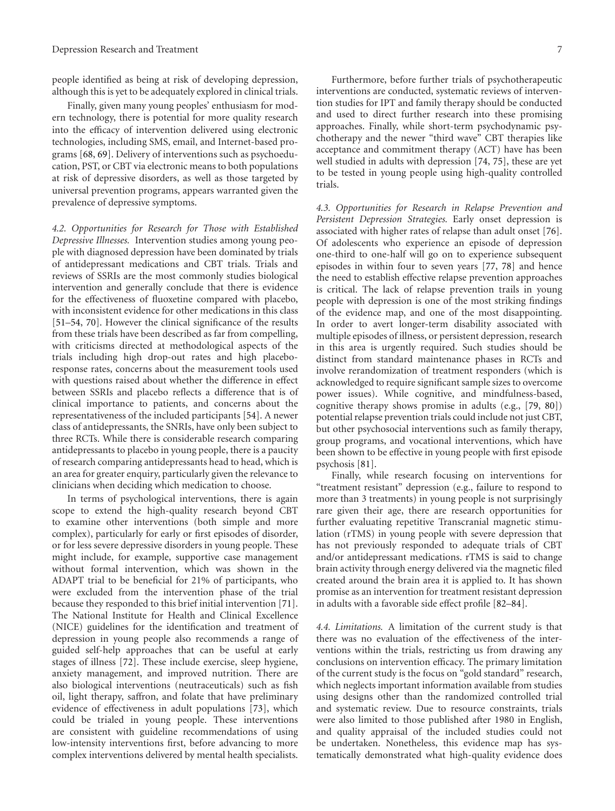people identified as being at risk of developing depression, although this is yet to be adequately explored in clinical trials.

Finally, given many young peoples' enthusiasm for modern technology, there is potential for more quality research into the efficacy of intervention delivered using electronic technologies, including SMS, email, and Internet-based programs [68, 69]. Delivery of interventions such as psychoeducation, PST, or CBT via electronic means to both populations at risk of depressive disorders, as well as those targeted by universal prevention programs, appears warranted given the prevalence of depressive symptoms.

*4.2. Opportunities for Research for Those with Established Depressive Illnesses.* Intervention studies among young people with diagnosed depression have been dominated by trials of antidepressant medications and CBT trials. Trials and reviews of SSRIs are the most commonly studies biological intervention and generally conclude that there is evidence for the effectiveness of fluoxetine compared with placebo, with inconsistent evidence for other medications in this class [51–54, 70]. However the clinical significance of the results from these trials have been described as far from compelling, with criticisms directed at methodological aspects of the trials including high drop-out rates and high placeboresponse rates, concerns about the measurement tools used with questions raised about whether the difference in effect between SSRIs and placebo reflects a difference that is of clinical importance to patients, and concerns about the representativeness of the included participants [54]. A newer class of antidepressants, the SNRIs, have only been subject to three RCTs. While there is considerable research comparing antidepressants to placebo in young people, there is a paucity of research comparing antidepressants head to head, which is an area for greater enquiry, particularly given the relevance to clinicians when deciding which medication to choose.

In terms of psychological interventions, there is again scope to extend the high-quality research beyond CBT to examine other interventions (both simple and more complex), particularly for early or first episodes of disorder, or for less severe depressive disorders in young people. These might include, for example, supportive case management without formal intervention, which was shown in the ADAPT trial to be beneficial for 21% of participants, who were excluded from the intervention phase of the trial because they responded to this brief initial intervention [71]. The National Institute for Health and Clinical Excellence (NICE) guidelines for the identification and treatment of depression in young people also recommends a range of guided self-help approaches that can be useful at early stages of illness [72]. These include exercise, sleep hygiene, anxiety management, and improved nutrition. There are also biological interventions (neutraceuticals) such as fish oil, light therapy, saffron, and folate that have preliminary evidence of effectiveness in adult populations [73], which could be trialed in young people. These interventions are consistent with guideline recommendations of using low-intensity interventions first, before advancing to more complex interventions delivered by mental health specialists.

Furthermore, before further trials of psychotherapeutic interventions are conducted, systematic reviews of intervention studies for IPT and family therapy should be conducted and used to direct further research into these promising approaches. Finally, while short-term psychodynamic psychotherapy and the newer "third wave" CBT therapies like acceptance and commitment therapy (ACT) have has been well studied in adults with depression [74, 75], these are yet to be tested in young people using high-quality controlled trials.

*4.3. Opportunities for Research in Relapse Prevention and Persistent Depression Strategies.* Early onset depression is associated with higher rates of relapse than adult onset [76]. Of adolescents who experience an episode of depression one-third to one-half will go on to experience subsequent episodes in within four to seven years [77, 78] and hence the need to establish effective relapse prevention approaches is critical. The lack of relapse prevention trails in young people with depression is one of the most striking findings of the evidence map, and one of the most disappointing. In order to avert longer-term disability associated with multiple episodes of illness, or persistent depression, research in this area is urgently required. Such studies should be distinct from standard maintenance phases in RCTs and involve rerandomization of treatment responders (which is acknowledged to require significant sample sizes to overcome power issues). While cognitive, and mindfulness-based, cognitive therapy shows promise in adults (e.g., [79, 80]) potential relapse prevention trials could include not just CBT, but other psychosocial interventions such as family therapy, group programs, and vocational interventions, which have been shown to be effective in young people with first episode psychosis [81].

Finally, while research focusing on interventions for "treatment resistant" depression (e.g., failure to respond to more than 3 treatments) in young people is not surprisingly rare given their age, there are research opportunities for further evaluating repetitive Transcranial magnetic stimulation (rTMS) in young people with severe depression that has not previously responded to adequate trials of CBT and/or antidepressant medications. rTMS is said to change brain activity through energy delivered via the magnetic filed created around the brain area it is applied to. It has shown promise as an intervention for treatment resistant depression in adults with a favorable side effect profile [82–84].

*4.4. Limitations.* A limitation of the current study is that there was no evaluation of the effectiveness of the interventions within the trials, restricting us from drawing any conclusions on intervention efficacy. The primary limitation of the current study is the focus on "gold standard" research, which neglects important information available from studies using designs other than the randomized controlled trial and systematic review. Due to resource constraints, trials were also limited to those published after 1980 in English, and quality appraisal of the included studies could not be undertaken. Nonetheless, this evidence map has systematically demonstrated what high-quality evidence does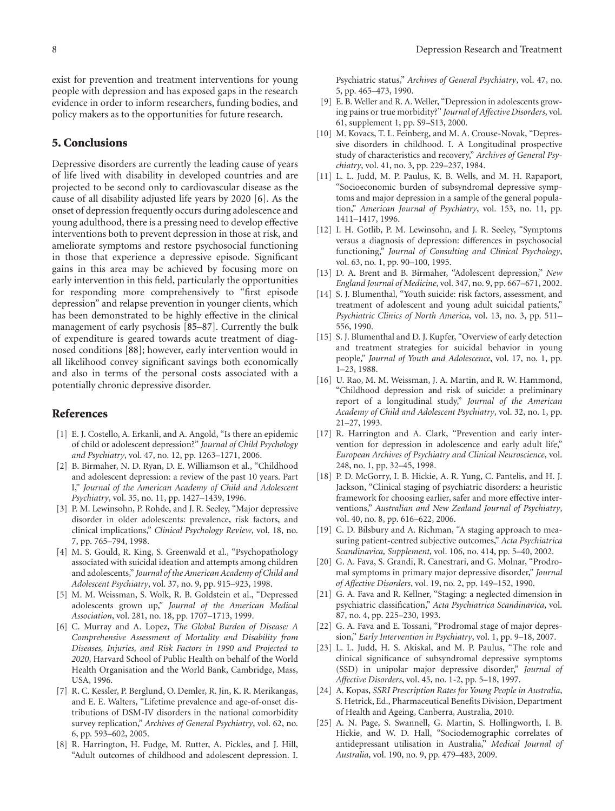exist for prevention and treatment interventions for young people with depression and has exposed gaps in the research evidence in order to inform researchers, funding bodies, and policy makers as to the opportunities for future research.

#### 5. Conclusions

Depressive disorders are currently the leading cause of years of life lived with disability in developed countries and are projected to be second only to cardiovascular disease as the cause of all disability adjusted life years by 2020 [6]. As the onset of depression frequently occurs during adolescence and young adulthood, there is a pressing need to develop effective interventions both to prevent depression in those at risk, and ameliorate symptoms and restore psychosocial functioning in those that experience a depressive episode. Significant gains in this area may be achieved by focusing more on early intervention in this field, particularly the opportunities for responding more comprehensively to "first episode depression" and relapse prevention in younger clients, which has been demonstrated to be highly effective in the clinical management of early psychosis [85–87]. Currently the bulk of expenditure is geared towards acute treatment of diagnosed conditions [88]; however, early intervention would in all likelihood convey significant savings both economically and also in terms of the personal costs associated with a potentially chronic depressive disorder.

#### References

- [1] E. J. Costello, A. Erkanli, and A. Angold, "Is there an epidemic of child or adolescent depression?" *Journal of Child Psychology and Psychiatry*, vol. 47, no. 12, pp. 1263–1271, 2006.
- [2] B. Birmaher, N. D. Ryan, D. E. Williamson et al., "Childhood and adolescent depression: a review of the past 10 years. Part I," *Journal of the American Academy of Child and Adolescent Psychiatry*, vol. 35, no. 11, pp. 1427–1439, 1996.
- [3] P. M. Lewinsohn, P. Rohde, and J. R. Seeley, "Major depressive disorder in older adolescents: prevalence, risk factors, and clinical implications," *Clinical Psychology Review*, vol. 18, no. 7, pp. 765–794, 1998.
- [4] M. S. Gould, R. King, S. Greenwald et al., "Psychopathology associated with suicidal ideation and attempts among children and adolescents," *Journal of the American Academy of Child and Adolescent Psychiatry*, vol. 37, no. 9, pp. 915–923, 1998.
- [5] M. M. Weissman, S. Wolk, R. B. Goldstein et al., "Depressed adolescents grown up," *Journal of the American Medical Association*, vol. 281, no. 18, pp. 1707–1713, 1999.
- [6] C. Murray and A. Lopez, *The Global Burden of Disease: A Comprehensive Assessment of Mortality and Disability from Diseases, Injuries, and Risk Factors in 1990 and Projected to 2020*, Harvard School of Public Health on behalf of the World Health Organisation and the World Bank, Cambridge, Mass, USA, 1996.
- [7] R. C. Kessler, P. Berglund, O. Demler, R. Jin, K. R. Merikangas, and E. E. Walters, "Lifetime prevalence and age-of-onset distributions of DSM-IV disorders in the national comorbidity survey replication," *Archives of General Psychiatry*, vol. 62, no. 6, pp. 593–602, 2005.
- [8] R. Harrington, H. Fudge, M. Rutter, A. Pickles, and J. Hill, "Adult outcomes of childhood and adolescent depression. I.

Psychiatric status," *Archives of General Psychiatry*, vol. 47, no. 5, pp. 465–473, 1990.

- [9] E. B. Weller and R. A. Weller, "Depression in adolescents growing pains or true morbidity?" *Journal of Affective Disorders*, vol. 61, supplement 1, pp. S9–S13, 2000.
- [10] M. Kovacs, T. L. Feinberg, and M. A. Crouse-Novak, "Depressive disorders in childhood. I. A Longitudinal prospective study of characteristics and recovery," *Archives of General Psychiatry*, vol. 41, no. 3, pp. 229–237, 1984.
- [11] L. L. Judd, M. P. Paulus, K. B. Wells, and M. H. Rapaport, "Socioeconomic burden of subsyndromal depressive symptoms and major depression in a sample of the general population," *American Journal of Psychiatry*, vol. 153, no. 11, pp. 1411–1417, 1996.
- [12] I. H. Gotlib, P. M. Lewinsohn, and J. R. Seeley, "Symptoms versus a diagnosis of depression: differences in psychosocial functioning," *Journal of Consulting and Clinical Psychology*, vol. 63, no. 1, pp. 90–100, 1995.
- [13] D. A. Brent and B. Birmaher, "Adolescent depression," *New England Journal of Medicine*, vol. 347, no. 9, pp. 667–671, 2002.
- [14] S. J. Blumenthal, "Youth suicide: risk factors, assessment, and treatment of adolescent and young adult suicidal patients," *Psychiatric Clinics of North America*, vol. 13, no. 3, pp. 511– 556, 1990.
- [15] S. J. Blumenthal and D. J. Kupfer, "Overview of early detection and treatment strategies for suicidal behavior in young people," *Journal of Youth and Adolescence*, vol. 17, no. 1, pp. 1–23, 1988.
- [16] U. Rao, M. M. Weissman, J. A. Martin, and R. W. Hammond, "Childhood depression and risk of suicide: a preliminary report of a longitudinal study," *Journal of the American Academy of Child and Adolescent Psychiatry*, vol. 32, no. 1, pp. 21–27, 1993.
- [17] R. Harrington and A. Clark, "Prevention and early intervention for depression in adolescence and early adult life," *European Archives of Psychiatry and Clinical Neuroscience*, vol. 248, no. 1, pp. 32–45, 1998.
- [18] P. D. McGorry, I. B. Hickie, A. R. Yung, C. Pantelis, and H. J. Jackson, "Clinical staging of psychiatric disorders: a heuristic framework for choosing earlier, safer and more effective interventions," *Australian and New Zealand Journal of Psychiatry*, vol. 40, no. 8, pp. 616–622, 2006.
- [19] C. D. Bilsbury and A. Richman, "A staging approach to measuring patient-centred subjective outcomes," *Acta Psychiatrica Scandinavica, Supplement*, vol. 106, no. 414, pp. 5–40, 2002.
- [20] G. A. Fava, S. Grandi, R. Canestrari, and G. Molnar, "Prodromal symptoms in primary major depressive disorder," *Journal of Affective Disorders*, vol. 19, no. 2, pp. 149–152, 1990.
- [21] G. A. Fava and R. Kellner, "Staging: a neglected dimension in psychiatric classification," *Acta Psychiatrica Scandinavica*, vol. 87, no. 4, pp. 225–230, 1993.
- [22] G. A. Fava and E. Tossani, "Prodromal stage of major depression," *Early Intervention in Psychiatry*, vol. 1, pp. 9–18, 2007.
- [23] L. L. Judd, H. S. Akiskal, and M. P. Paulus, "The role and clinical significance of subsyndromal depressive symptoms (SSD) in unipolar major depressive disorder," *Journal of Affective Disorders*, vol. 45, no. 1-2, pp. 5–18, 1997.
- [24] A. Kopas, *SSRI Prescription Rates for Young People in Australia*, S. Hetrick, Ed., Pharmaceutical Benefits Division, Department of Health and Ageing, Canberra, Australia, 2010.
- [25] A. N. Page, S. Swannell, G. Martin, S. Hollingworth, I. B. Hickie, and W. D. Hall, "Sociodemographic correlates of antidepressant utilisation in Australia," *Medical Journal of Australia*, vol. 190, no. 9, pp. 479–483, 2009.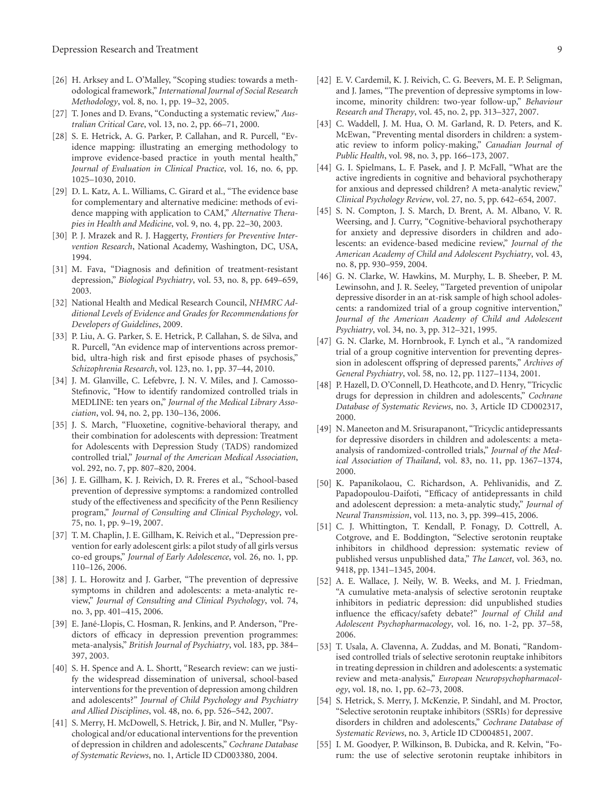- [26] H. Arksey and L. O'Malley, "Scoping studies: towards a methodological framework," *International Journal of Social Research Methodology*, vol. 8, no. 1, pp. 19–32, 2005.
- [27] T. Jones and D. Evans, "Conducting a systematic review," *Australian Critical Care*, vol. 13, no. 2, pp. 66–71, 2000.
- [28] S. E. Hetrick, A. G. Parker, P. Callahan, and R. Purcell, "Evidence mapping: illustrating an emerging methodology to improve evidence-based practice in youth mental health," *Journal of Evaluation in Clinical Practice*, vol. 16, no. 6, pp. 1025–1030, 2010.
- [29] D. L. Katz, A. L. Williams, C. Girard et al., "The evidence base for complementary and alternative medicine: methods of evidence mapping with application to CAM," *Alternative Therapies in Health and Medicine*, vol. 9, no. 4, pp. 22–30, 2003.
- [30] P. J. Mrazek and R. J. Haggerty, *Frontiers for Preventive Intervention Research*, National Academy, Washington, DC, USA, 1994.
- [31] M. Fava, "Diagnosis and definition of treatment-resistant depression," *Biological Psychiatry*, vol. 53, no. 8, pp. 649–659, 2003.
- [32] National Health and Medical Research Council, *NHMRC Additional Levels of Evidence and Grades for Recommendations for Developers of Guidelines*, 2009.
- [33] P. Liu, A. G. Parker, S. E. Hetrick, P. Callahan, S. de Silva, and R. Purcell, "An evidence map of interventions across premorbid, ultra-high risk and first episode phases of psychosis," *Schizophrenia Research*, vol. 123, no. 1, pp. 37–44, 2010.
- [34] J. M. Glanville, C. Lefebvre, J. N. V. Miles, and J. Camosso-Stefinovic, "How to identify randomized controlled trials in MEDLINE: ten years on," *Journal of the Medical Library Association*, vol. 94, no. 2, pp. 130–136, 2006.
- [35] J. S. March, "Fluoxetine, cognitive-behavioral therapy, and their combination for adolescents with depression: Treatment for Adolescents with Depression Study (TADS) randomized controlled trial," *Journal of the American Medical Association*, vol. 292, no. 7, pp. 807–820, 2004.
- [36] J. E. Gillham, K. J. Reivich, D. R. Freres et al., "School-based prevention of depressive symptoms: a randomized controlled study of the effectiveness and specificity of the Penn Resiliency program," *Journal of Consulting and Clinical Psychology*, vol. 75, no. 1, pp. 9–19, 2007.
- [37] T. M. Chaplin, J. E. Gillham, K. Reivich et al., "Depression prevention for early adolescent girls: a pilot study of all girls versus co-ed groups," *Journal of Early Adolescence*, vol. 26, no. 1, pp. 110–126, 2006.
- [38] J. L. Horowitz and J. Garber, "The prevention of depressive symptoms in children and adolescents: a meta-analytic review," *Journal of Consulting and Clinical Psychology*, vol. 74, no. 3, pp. 401–415, 2006.
- [39] E. Jané-Llopis, C. Hosman, R. Jenkins, and P. Anderson, "Predictors of efficacy in depression prevention programmes: meta-analysis," *British Journal of Psychiatry*, vol. 183, pp. 384– 397, 2003.
- [40] S. H. Spence and A. L. Shortt, "Research review: can we justify the widespread dissemination of universal, school-based interventions for the prevention of depression among children and adolescents?" *Journal of Child Psychology and Psychiatry and Allied Disciplines*, vol. 48, no. 6, pp. 526–542, 2007.
- [41] S. Merry, H. McDowell, S. Hetrick, J. Bir, and N. Muller, "Psychological and/or educational interventions for the prevention of depression in children and adolescents," *Cochrane Database of Systematic Reviews*, no. 1, Article ID CD003380, 2004.
- [42] E. V. Cardemil, K. J. Reivich, C. G. Beevers, M. E. P. Seligman, and J. James, "The prevention of depressive symptoms in lowincome, minority children: two-year follow-up," *Behaviour Research and Therapy*, vol. 45, no. 2, pp. 313–327, 2007.
- [43] C. Waddell, J. M. Hua, O. M. Garland, R. D. Peters, and K. McEwan, "Preventing mental disorders in children: a systematic review to inform policy-making," *Canadian Journal of Public Health*, vol. 98, no. 3, pp. 166–173, 2007.
- [44] G. I. Spielmans, L. F. Pasek, and J. P. McFall, "What are the active ingredients in cognitive and behavioral psychotherapy for anxious and depressed children? A meta-analytic review," *Clinical Psychology Review*, vol. 27, no. 5, pp. 642–654, 2007.
- [45] S. N. Compton, J. S. March, D. Brent, A. M. Albano, V. R. Weersing, and J. Curry, "Cognitive-behavioral psychotherapy for anxiety and depressive disorders in children and adolescents: an evidence-based medicine review," *Journal of the American Academy of Child and Adolescent Psychiatry*, vol. 43, no. 8, pp. 930–959, 2004.
- [46] G. N. Clarke, W. Hawkins, M. Murphy, L. B. Sheeber, P. M. Lewinsohn, and J. R. Seeley, "Targeted prevention of unipolar depressive disorder in an at-risk sample of high school adolescents: a randomized trial of a group cognitive intervention," *Journal of the American Academy of Child and Adolescent Psychiatry*, vol. 34, no. 3, pp. 312–321, 1995.
- [47] G. N. Clarke, M. Hornbrook, F. Lynch et al., "A randomized trial of a group cognitive intervention for preventing depression in adolescent offspring of depressed parents," *Archives of General Psychiatry*, vol. 58, no. 12, pp. 1127–1134, 2001.
- [48] P. Hazell, D. O'Connell, D. Heathcote, and D. Henry, "Tricyclic drugs for depression in children and adolescents," *Cochrane Database of Systematic Reviews*, no. 3, Article ID CD002317, 2000.
- [49] N. Maneeton and M. Srisurapanont, "Tricyclic antidepressants for depressive disorders in children and adolescents: a metaanalysis of randomized-controlled trials," *Journal of the Medical Association of Thailand*, vol. 83, no. 11, pp. 1367–1374, 2000.
- [50] K. Papanikolaou, C. Richardson, A. Pehlivanidis, and Z. Papadopoulou-Daifoti, "Efficacy of antidepressants in child and adolescent depression: a meta-analytic study," *Journal of Neural Transmission*, vol. 113, no. 3, pp. 399–415, 2006.
- [51] C. J. Whittington, T. Kendall, P. Fonagy, D. Cottrell, A. Cotgrove, and E. Boddington, "Selective serotonin reuptake inhibitors in childhood depression: systematic review of published versus unpublished data," *The Lancet*, vol. 363, no. 9418, pp. 1341–1345, 2004.
- [52] A. E. Wallace, J. Neily, W. B. Weeks, and M. J. Friedman, "A cumulative meta-analysis of selective serotonin reuptake inhibitors in pediatric depression: did unpublished studies influence the efficacy/safety debate?" *Journal of Child and Adolescent Psychopharmacology*, vol. 16, no. 1-2, pp. 37–58, 2006.
- [53] T. Usala, A. Clavenna, A. Zuddas, and M. Bonati, "Randomised controlled trials of selective serotonin reuptake inhibitors in treating depression in children and adolescents: a systematic review and meta-analysis," *European Neuropsychopharmacology*, vol. 18, no. 1, pp. 62–73, 2008.
- [54] S. Hetrick, S. Merry, J. McKenzie, P. Sindahl, and M. Proctor, "Selective serotonin reuptake inhibitors (SSRIs) for depressive disorders in children and adolescents," *Cochrane Database of Systematic Reviews*, no. 3, Article ID CD004851, 2007.
- [55] I. M. Goodyer, P. Wilkinson, B. Dubicka, and R. Kelvin, "Forum: the use of selective serotonin reuptake inhibitors in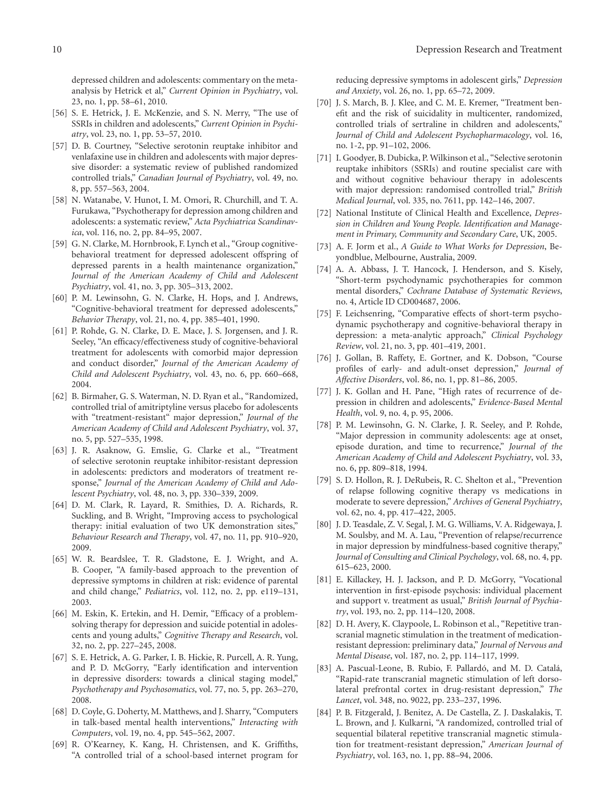depressed children and adolescents: commentary on the metaanalysis by Hetrick et al," *Current Opinion in Psychiatry*, vol. 23, no. 1, pp. 58–61, 2010.

- [56] S. E. Hetrick, J. E. McKenzie, and S. N. Merry, "The use of SSRIs in children and adolescents," *Current Opinion in Psychiatry*, vol. 23, no. 1, pp. 53–57, 2010.
- [57] D. B. Courtney, "Selective serotonin reuptake inhibitor and venlafaxine use in children and adolescents with major depressive disorder: a systematic review of published randomized controlled trials," *Canadian Journal of Psychiatry*, vol. 49, no. 8, pp. 557–563, 2004.
- [58] N. Watanabe, V. Hunot, I. M. Omori, R. Churchill, and T. A. Furukawa, "Psychotherapy for depression among children and adolescents: a systematic review," *Acta Psychiatrica Scandinavica*, vol. 116, no. 2, pp. 84–95, 2007.
- [59] G. N. Clarke, M. Hornbrook, F. Lynch et al., "Group cognitivebehavioral treatment for depressed adolescent offspring of depressed parents in a health maintenance organization," *Journal of the American Academy of Child and Adolescent Psychiatry*, vol. 41, no. 3, pp. 305–313, 2002.
- [60] P. M. Lewinsohn, G. N. Clarke, H. Hops, and J. Andrews, "Cognitive-behavioral treatment for depressed adolescents," *Behavior Therapy*, vol. 21, no. 4, pp. 385–401, 1990.
- [61] P. Rohde, G. N. Clarke, D. E. Mace, J. S. Jorgensen, and J. R. Seeley, "An efficacy/effectiveness study of cognitive-behavioral treatment for adolescents with comorbid major depression and conduct disorder," *Journal of the American Academy of Child and Adolescent Psychiatry*, vol. 43, no. 6, pp. 660–668, 2004.
- [62] B. Birmaher, G. S. Waterman, N. D. Ryan et al., "Randomized, controlled trial of amitriptyline versus placebo for adolescents with "treatment-resistant" major depression," *Journal of the American Academy of Child and Adolescent Psychiatry*, vol. 37, no. 5, pp. 527–535, 1998.
- [63] J. R. Asaknow, G. Emslie, G. Clarke et al., "Treatment of selective serotonin reuptake inhibitor-resistant depression in adolescents: predictors and moderators of treatment response," *Journal of the American Academy of Child and Adolescent Psychiatry*, vol. 48, no. 3, pp. 330–339, 2009.
- [64] D. M. Clark, R. Layard, R. Smithies, D. A. Richards, R. Suckling, and B. Wright, "Improving access to psychological therapy: initial evaluation of two UK demonstration sites," *Behaviour Research and Therapy*, vol. 47, no. 11, pp. 910–920, 2009.
- [65] W. R. Beardslee, T. R. Gladstone, E. J. Wright, and A. B. Cooper, "A family-based approach to the prevention of depressive symptoms in children at risk: evidence of parental and child change," *Pediatrics*, vol. 112, no. 2, pp. e119–131, 2003.
- [66] M. Eskin, K. Ertekin, and H. Demir, "Efficacy of a problemsolving therapy for depression and suicide potential in adolescents and young adults," *Cognitive Therapy and Research*, vol. 32, no. 2, pp. 227–245, 2008.
- [67] S. E. Hetrick, A. G. Parker, I. B. Hickie, R. Purcell, A. R. Yung, and P. D. McGorry, "Early identification and intervention in depressive disorders: towards a clinical staging model," *Psychotherapy and Psychosomatics*, vol. 77, no. 5, pp. 263–270, 2008.
- [68] D. Coyle, G. Doherty, M. Matthews, and J. Sharry, "Computers in talk-based mental health interventions," *Interacting with Computers*, vol. 19, no. 4, pp. 545–562, 2007.
- [69] R. O'Kearney, K. Kang, H. Christensen, and K. Griffiths, "A controlled trial of a school-based internet program for

reducing depressive symptoms in adolescent girls," *Depression and Anxiety*, vol. 26, no. 1, pp. 65–72, 2009.

- [70] J. S. March, B. J. Klee, and C. M. E. Kremer, "Treatment benefit and the risk of suicidality in multicenter, randomized, controlled trials of sertraline in children and adolescents," *Journal of Child and Adolescent Psychopharmacology*, vol. 16, no. 1-2, pp. 91–102, 2006.
- [71] I. Goodyer, B. Dubicka, P. Wilkinson et al., "Selective serotonin reuptake inhibitors (SSRIs) and routine specialist care with and without cognitive behaviour therapy in adolescents with major depression: randomised controlled trial," *British Medical Journal*, vol. 335, no. 7611, pp. 142–146, 2007.
- [72] National Institute of Clinical Health and Excellence, *Depression in Children and Young People. Identification and Management in Primary, Community and Secondary Care*, UK, 2005.
- [73] A. F. Jorm et al., *A Guide to What Works for Depression*, Beyondblue, Melbourne, Australia, 2009.
- [74] A. A. Abbass, J. T. Hancock, J. Henderson, and S. Kisely, "Short-term psychodynamic psychotherapies for common mental disorders," *Cochrane Database of Systematic Reviews*, no. 4, Article ID CD004687, 2006.
- [75] F. Leichsenring, "Comparative effects of short-term psychodynamic psychotherapy and cognitive-behavioral therapy in depression: a meta-analytic approach," *Clinical Psychology Review*, vol. 21, no. 3, pp. 401–419, 2001.
- [76] J. Gollan, B. Raffety, E. Gortner, and K. Dobson, "Course profiles of early- and adult-onset depression," *Journal of Affective Disorders*, vol. 86, no. 1, pp. 81–86, 2005.
- [77] J. K. Gollan and H. Pane, "High rates of recurrence of depression in children and adolescents," *Evidence-Based Mental Health*, vol. 9, no. 4, p. 95, 2006.
- [78] P. M. Lewinsohn, G. N. Clarke, J. R. Seeley, and P. Rohde, "Major depression in community adolescents: age at onset, episode duration, and time to recurrence," *Journal of the American Academy of Child and Adolescent Psychiatry*, vol. 33, no. 6, pp. 809–818, 1994.
- [79] S. D. Hollon, R. J. DeRubeis, R. C. Shelton et al., "Prevention of relapse following cognitive therapy vs medications in moderate to severe depression," *Archives of General Psychiatry*, vol. 62, no. 4, pp. 417–422, 2005.
- [80] J. D. Teasdale, Z. V. Segal, J. M. G. Williams, V. A. Ridgewaya, J. M. Soulsby, and M. A. Lau, "Prevention of relapse/recurrence in major depression by mindfulness-based cognitive therapy," *Journal of Consulting and Clinical Psychology*, vol. 68, no. 4, pp. 615–623, 2000.
- [81] E. Killackey, H. J. Jackson, and P. D. McGorry, "Vocational intervention in first-episode psychosis: individual placement and support v. treatment as usual," *British Journal of Psychiatry*, vol. 193, no. 2, pp. 114–120, 2008.
- [82] D. H. Avery, K. Claypoole, L. Robinson et al., "Repetitive transcranial magnetic stimulation in the treatment of medicationresistant depression: preliminary data," *Journal of Nervous and Mental Disease*, vol. 187, no. 2, pp. 114–117, 1999.
- [83] A. Pascual-Leone, B. Rubio, F. Pallardó, and M. D. Catalá, "Rapid-rate transcranial magnetic stimulation of left dorsolateral prefrontal cortex in drug-resistant depression," *The Lancet*, vol. 348, no. 9022, pp. 233–237, 1996.
- [84] P. B. Fitzgerald, J. Benitez, A. De Castella, Z. J. Daskalakis, T. L. Brown, and J. Kulkarni, "A randomized, controlled trial of sequential bilateral repetitive transcranial magnetic stimulation for treatment-resistant depression," *American Journal of Psychiatry*, vol. 163, no. 1, pp. 88–94, 2006.